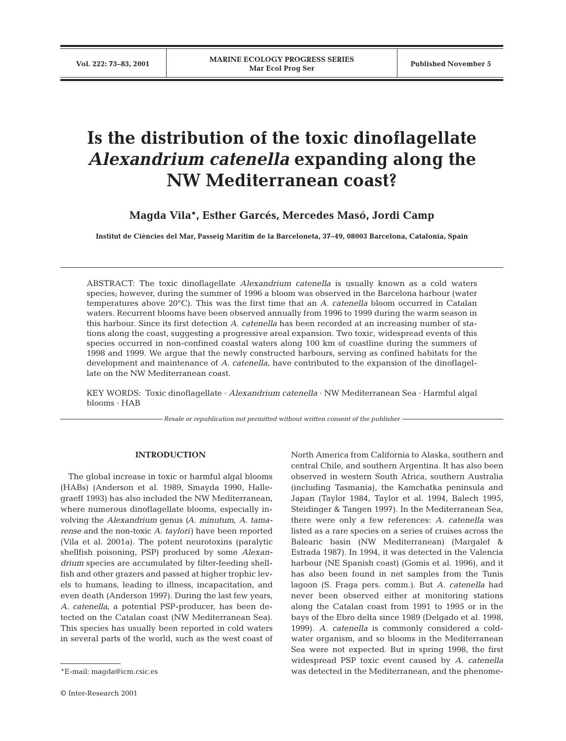# **Is the distribution of the toxic dinoflagellate** *Alexandrium catenella* **expanding along the NW Mediterranean coast?**

**Magda Vila\*, Esther Garcés, Mercedes Masó, Jordi Camp**

**Institut de Ciències del Mar, Passeig Marítim de la Barceloneta, 37–49, 08003 Barcelona, Catalonia, Spain**

ABSTRACT: The toxic dinoflagellate *Alexandrium catenella* is usually known as a cold waters species; however, during the summer of 1996 a bloom was observed in the Barcelona harbour (water temperatures above 20°C). This was the first time that an *A. catenella* bloom occurred in Catalan waters. Recurrent blooms have been observed annually from 1996 to 1999 during the warm season in this harbour. Since its first detection *A. catenella* has been recorded at an increasing number of stations along the coast, suggesting a progressive areal expansion. Two toxic, widespread events of this species occurred in non-confined coastal waters along 100 km of coastline during the summers of 1998 and 1999. We argue that the newly constructed harbours, serving as confined habitats for the development and maintenance of *A. catenella*, have contributed to the expansion of the dinoflagellate on the NW Mediterranean coast.

KEY WORDS: Toxic dinoflagellate · *Alexandrium catenella* · NW Mediterranean Sea · Harmful algal blooms · HAB

*Resale or republication not permitted without written consent of the publisher*

#### **INTRODUCTION**

The global increase in toxic or harmful algal blooms (HABs) (Anderson et al. 1989, Smayda 1990, Hallegraeff 1993) has also included the NW Mediterranean, where numerous dinoflagellate blooms, especially involving the *Alexandrium* genus *(A. minutum, A. tamarense* and the non-toxic *A. taylori)* have been reported (Vila et al. 2001a). The potent neurotoxins (paralytic shellfish poisoning, PSP) produced by some *Alexandrium* species are accumulated by filter-feeding shellfish and other grazers and passed at higher trophic levels to humans, leading to illness, incapacitation, and even death (Anderson 1997). During the last few years, *A. catenella,* a potential PSP-producer, has been detected on the Catalan coast (NW Mediterranean Sea). This species has usually been reported in cold waters in several parts of the world, such as the west coast of North America from California to Alaska, southern and central Chile, and southern Argentina. It has also been observed in western South Africa, southern Australia (including Tasmania), the Kamchatka peninsula and Japan (Taylor 1984, Taylor et al. 1994, Balech 1995, Steidinger & Tangen 1997). In the Mediterranean Sea, there were only a few references: *A. catenella* was listed as a rare species on a series of cruises across the Balearic basin (NW Mediterranean) (Margalef & Estrada 1987). In 1994, it was detected in the Valencia harbour (NE Spanish coast) (Gomis et al. 1996), and it has also been found in net samples from the Tunis lagoon (S. Fraga pers. comm.). But *A. catenella* had never been observed either at monitoring stations along the Catalan coast from 1991 to 1995 or in the bays of the Ebro delta since 1989 (Delgado et al. 1998, 1999). *A. catenella* is commonly considered a coldwater organism, and so blooms in the Mediterranean Sea were not expected. But in spring 1998, the first widespread PSP toxic event caused by *A. catenella* was detected in the Mediterranean, and the phenome-

<sup>\*</sup>E-mail: magda@icm.csic.es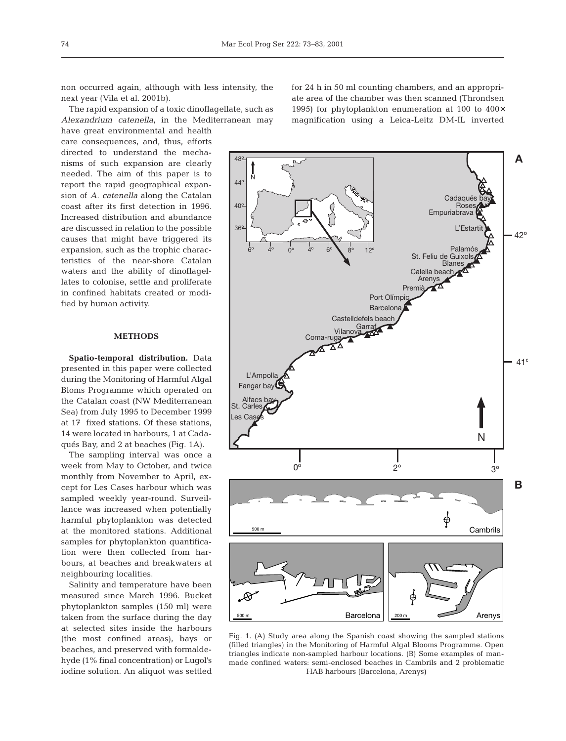non occurred again, although with less intensity, the next year (Vila et al. 2001b).

The rapid expansion of a toxic dinoflagellate, such as *Alexandrium catenella*, in the Mediterranean may

have great environmental and health care consequences, and, thus, efforts directed to understand the mechanisms of such expansion are clearly needed. The aim of this paper is to report the rapid geographical expansion of *A. catenella* along the Catalan coast after its first detection in 1996. Increased distribution and abundance are discussed in relation to the possible causes that might have triggered its expansion, such as the trophic characteristics of the near-shore Catalan waters and the ability of dinoflagellates to colonise, settle and proliferate in confined habitats created or modified by human activity.

## **METHODS**

**Spatio-temporal distribution.** Data presented in this paper were collected during the Monitoring of Harmful Algal Bloms Programme which operated on the Catalan coast (NW Mediterranean Sea) from July 1995 to December 1999 at 17 fixed stations. Of these stations, 14 were located in harbours, 1 at Cadaqués Bay, and 2 at beaches (Fig. 1A).

The sampling interval was once a week from May to October, and twice monthly from November to April, except for Les Cases harbour which was sampled weekly year-round. Surveillance was increased when potentially harmful phytoplankton was detected at the monitored stations. Additional samples for phytoplankton quantification were then collected from harbours, at beaches and breakwaters at neighbouring localities.

Salinity and temperature have been measured since March 1996. Bucket phytoplankton samples (150 ml) were taken from the surface during the day at selected sites inside the harbours (the most confined areas), bays or beaches, and preserved with formaldehyde (1% final concentration) or Lugol's iodine solution. An aliquot was settled for 24 h in 50 ml counting chambers, and an appropriate area of the chamber was then scanned (Throndsen 1995) for phytoplankton enumeration at 100 to 400× magnification using a Leica-Leitz DM-IL inverted



Fig. 1. (A) Study area along the Spanish coast showing the sampled stations (filled triangles) in the Monitoring of Harmful Algal Blooms Programme. Open triangles indicate non-sampled harbour locations. (B) Some examples of manmade confined waters: semi-enclosed beaches in Cambrils and 2 problematic HAB harbours (Barcelona, Arenys)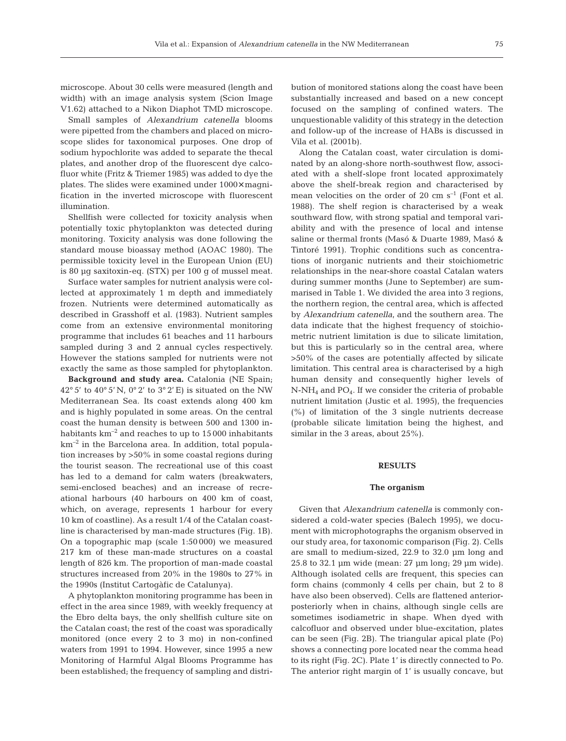microscope. About 30 cells were measured (length and width) with an image analysis system (Scion Image V1.62) attached to a Nikon Diaphot TMD microscope.

Small samples of *Alexandrium catenella* blooms were pipetted from the chambers and placed on microscope slides for taxonomical purposes. One drop of sodium hypochlorite was added to separate the thecal plates, and another drop of the fluorescent dye calcofluor white (Fritz & Triemer 1985) was added to dye the plates. The slides were examined under 1000× magnification in the inverted microscope with fluorescent illumination.

Shellfish were collected for toxicity analysis when potentially toxic phytoplankton was detected during monitoring. Toxicity analysis was done following the standard mouse bioassay method (AOAC 1980). The permissible toxicity level in the European Union (EU) is 80 µg saxitoxin-eq. (STX) per 100 g of mussel meat.

Surface water samples for nutrient analysis were collected at approximately 1 m depth and immediately frozen. Nutrients were determined automatically as described in Grasshoff et al. (1983). Nutrient samples come from an extensive environmental monitoring programme that includes 61 beaches and 11 harbours sampled during 3 and 2 annual cycles respectively. However the stations sampled for nutrients were not exactly the same as those sampled for phytoplankton.

**Background and study area.** Catalonia (NE Spain; 42° 5' to 40° 5' N, 0° 2' to 3° 2' E) is situated on the NW Mediterranean Sea. Its coast extends along 400 km and is highly populated in some areas. On the central coast the human density is between 500 and 1300 inhabitants  $km^{-2}$  and reaches to up to 15000 inhabitants  $km^{-2}$  in the Barcelona area. In addition, total population increases by >50% in some coastal regions during the tourist season. The recreational use of this coast has led to a demand for calm waters (breakwaters, semi-enclosed beaches) and an increase of recreational harbours (40 harbours on 400 km of coast, which, on average, represents 1 harbour for every 10 km of coastline). As a result 1/4 of the Catalan coastline is characterised by man-made structures (Fig. 1B). On a topographic map (scale 1:50 000) we measured 217 km of these man-made structures on a coastal length of 826 km. The proportion of man-made coastal structures increased from 20% in the 1980s to 27% in the 1990s (Institut Cartogàfic de Catalunya).

A phytoplankton monitoring programme has been in effect in the area since 1989, with weekly frequency at the Ebro delta bays, the only shellfish culture site on the Catalan coast; the rest of the coast was sporadically monitored (once every 2 to 3 mo) in non-confined waters from 1991 to 1994. However, since 1995 a new Monitoring of Harmful Algal Blooms Programme has been established; the frequency of sampling and distri-

bution of monitored stations along the coast have been substantially increased and based on a new concept focused on the sampling of confined waters. The unquestionable validity of this strategy in the detection and follow-up of the increase of HABs is discussed in Vila et al. (2001b).

Along the Catalan coast, water circulation is dominated by an along-shore north-southwest flow, associated with a shelf-slope front located approximately above the shelf-break region and characterised by mean velocities on the order of 20 cm  $s^{-1}$  (Font et al. 1988). The shelf region is characterised by a weak southward flow, with strong spatial and temporal variability and with the presence of local and intense saline or thermal fronts (Masó & Duarte 1989, Masó & Tintoré 1991). Trophic conditions such as concentrations of inorganic nutrients and their stoichiometric relationships in the near-shore coastal Catalan waters during summer months (June to September) are summarised in Table 1. We divided the area into 3 regions, the northern region, the central area, which is affected by *Alexandrium catenella*, and the southern area. The data indicate that the highest frequency of stoichiometric nutrient limitation is due to silicate limitation, but this is particularly so in the central area, where >50% of the cases are potentially affected by silicate limitation. This central area is characterised by a high human density and consequently higher levels of  $N-NH_4$  and  $PO_4$ . If we consider the criteria of probable nutrient limitation (Justic et al. 1995), the frequencies (%) of limitation of the 3 single nutrients decrease (probable silicate limitation being the highest, and similar in the 3 areas, about 25%).

### **RESULTS**

#### **The organism**

Given that *Alexandrium catenella* is commonly considered a cold-water species (Balech 1995), we document with microphotographs the organism observed in our study area, for taxonomic comparison (Fig. 2). Cells are small to medium-sized, 22.9 to 32.0 µm long and 25.8 to 32.1 µm wide (mean: 27 µm long; 29 µm wide). Although isolated cells are frequent, this species can form chains (commonly 4 cells per chain, but 2 to 8 have also been observed). Cells are flattened anteriorposteriorly when in chains, although single cells are sometimes isodiametric in shape. When dyed with calcofluor and observed under blue-excitation, plates can be seen (Fig. 2B). The triangular apical plate (Po) shows a connecting pore located near the comma head to its right (Fig. 2C). Plate 1' is directly connected to Po. The anterior right margin of 1' is usually concave, but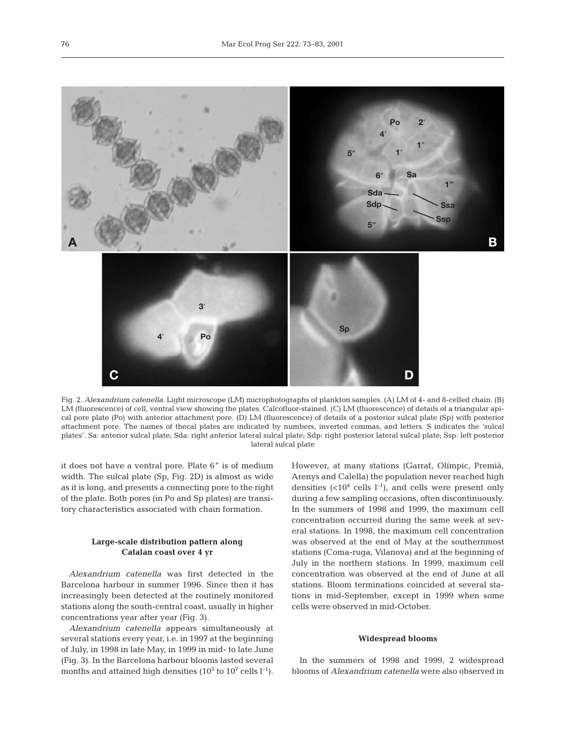

Fig. 2. *Alexandrium catenella*. Light microscope (LM) microphotographs of plankton samples. (A) LM of 4- and 8-celled chain. (B) LM (fluorescence) of cell, ventral view showing the plates. Calcofluor-stained. (C) LM (fluorescence) of details of a triangular apical pore plate (Po) with anterior attachment pore. (D) LM (fluorescence) of details of a posterior sulcal plate (Sp) with posterior attachment pore. The names of thecal plates are indicated by numbers, inverted commas, and letters. S indicates the 'sulcal plates'. Sa: anterior sulcal plate; Sda: right anterior lateral sulcal plate; Sdp: right posterior lateral sulcal plate; Ssp: left posterior lateral sulcal plate

it does not have a ventral pore. Plate 6" is of medium width. The sulcal plate (Sp, Fig. 2D) is almost as wide as it is long, and presents a connecting pore to the right of the plate. Both pores (in Po and Sp plates) are transitory characteristics associated with chain formation.

## **Large-scale distribution pattern along Catalan coast over 4 yr**

*Alexandrium catenella* was first detected in the Barcelona harbour in summer 1996. Since then it has increasingly been detected at the routinely monitored stations along the south-central coast, usually in higher concentrations year after year (Fig. 3).

*Alexandrium catenella* appears simultaneously at several stations every year, i.e. in 1997 at the beginning of July, in 1998 in late May, in 1999 in mid- to late June (Fig. 3). In the Barcelona harbour blooms lasted several months and attained high densities ( $10^5$  to  $10^7$  cells  $l^{-1}$ ).

However, at many stations (Garraf, Olímpic, Premià, Arenys and Calella) the population never reached high densities  $(<10<sup>4</sup>$  cells l<sup>-1</sup>), and cells were present only during a few sampling occasions, often discontinuously. In the summers of 1998 and 1999, the maximum cell concentration occurred during the same week at several stations. In 1998, the maximum cell concentration was observed at the end of May at the southernmost stations (Coma-ruga, Vilanova) and at the beginning of July in the northern stations. In 1999, maximum cell concentration was observed at the end of June at all stations. Bloom terminations coincided at several stations in mid-September, except in 1999 when some cells were observed in mid-October.

## **Widespread blooms**

In the summers of 1998 and 1999, 2 widespread blooms of *Alexandrium catenella* were also observed in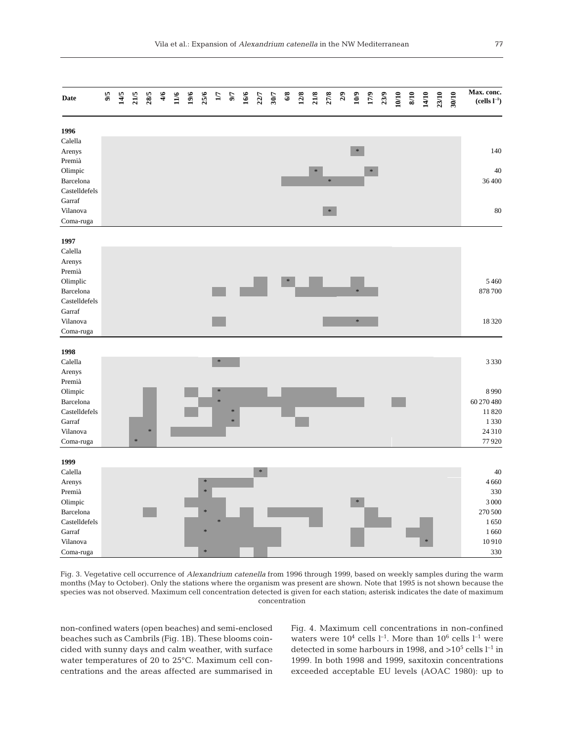| <b>Date</b>      | 9/6 | 14/5 | 21/5   | 28/5 | 4/6 | 11/6 | 19/6 | 25/6          | $\mathbf{L}$  | 57 | 16/6 |        | 22/7<br>30/7 | $6/8$  | $12/8$ | 21/8 | 27/8   |        | $2/9$<br>10/9<br>17/9<br>23/9 | 10/10 | $8/10$ | 14/10 | 23/10 | 30/10 | Max. conc.<br>$(\mbox{cells}\ l^{-1})$ |
|------------------|-----|------|--------|------|-----|------|------|---------------|---------------|----|------|--------|--------------|--------|--------|------|--------|--------|-------------------------------|-------|--------|-------|-------|-------|----------------------------------------|
| 1996             |     |      |        |      |     |      |      |               |               |    |      |        |              |        |        |      |        |        |                               |       |        |       |       |       |                                        |
| Calella          |     |      |        |      |     |      |      |               |               |    |      |        |              |        |        |      |        |        |                               |       |        |       |       |       |                                        |
| Arenys<br>Premià |     |      |        |      |     |      |      |               |               |    |      |        |              |        |        |      |        | $\ast$ |                               |       |        |       |       |       | 140                                    |
| Olimpic          |     |      |        |      |     |      |      |               |               |    |      |        |              |        |        | *    |        |        | $\ast$                        |       |        |       |       |       | 40                                     |
| Barcelona        |     |      |        |      |     |      |      |               |               |    |      |        |              |        |        |      | ×.     |        |                               |       |        |       |       |       | 36400                                  |
| Castelldefels    |     |      |        |      |     |      |      |               |               |    |      |        |              |        |        |      |        |        |                               |       |        |       |       |       |                                        |
| Garraf           |     |      |        |      |     |      |      |               |               |    |      |        |              |        |        |      |        |        |                               |       |        |       |       |       |                                        |
| Vilanova         |     |      |        |      |     |      |      |               |               |    |      |        |              |        |        |      | $\ast$ |        |                               |       |        |       |       |       | $80\,$                                 |
| Coma-ruga        |     |      |        |      |     |      |      |               |               |    |      |        |              |        |        |      |        |        |                               |       |        |       |       |       |                                        |
| 1997             |     |      |        |      |     |      |      |               |               |    |      |        |              |        |        |      |        |        |                               |       |        |       |       |       |                                        |
| Calella          |     |      |        |      |     |      |      |               |               |    |      |        |              |        |        |      |        |        |                               |       |        |       |       |       |                                        |
| Arenys           |     |      |        |      |     |      |      |               |               |    |      |        |              |        |        |      |        |        |                               |       |        |       |       |       |                                        |
| Premià           |     |      |        |      |     |      |      |               |               |    |      |        |              |        |        |      |        |        |                               |       |        |       |       |       |                                        |
| Olimplic         |     |      |        |      |     |      |      |               |               |    |      |        |              | $\ast$ |        |      |        |        |                               |       |        |       |       |       | 5460                                   |
| Barcelona        |     |      |        |      |     |      |      |               |               |    |      |        |              |        |        |      |        |        |                               |       |        |       |       |       | 878 700                                |
| Castelldefels    |     |      |        |      |     |      |      |               |               |    |      |        |              |        |        |      |        |        |                               |       |        |       |       |       |                                        |
| Garraf           |     |      |        |      |     |      |      |               |               |    |      |        |              |        |        |      |        |        |                               |       |        |       |       |       |                                        |
| Vilanova         |     |      |        |      |     |      |      |               |               |    |      |        |              |        |        |      |        | *      |                               |       |        |       |       |       | 18320                                  |
| Coma-ruga        |     |      |        |      |     |      |      |               |               |    |      |        |              |        |        |      |        |        |                               |       |        |       |       |       |                                        |
| 1998             |     |      |        |      |     |      |      |               |               |    |      |        |              |        |        |      |        |        |                               |       |        |       |       |       |                                        |
| Calella          |     |      |        |      |     |      |      |               | $\ast$        |    |      |        |              |        |        |      |        |        |                               |       |        |       |       |       | 3 3 3 0                                |
| Arenys           |     |      |        |      |     |      |      |               |               |    |      |        |              |        |        |      |        |        |                               |       |        |       |       |       |                                        |
| Premià           |     |      |        |      |     |      |      |               |               |    |      |        |              |        |        |      |        |        |                               |       |        |       |       |       |                                        |
| Olimpic          |     |      |        |      |     |      |      |               | $\frac{1}{2}$ |    |      |        |              |        |        |      |        |        |                               |       |        |       |       |       | 8990                                   |
| Barcelona        |     |      |        |      |     |      |      |               | $\ast$        |    |      |        |              |        |        |      |        |        |                               |       |        |       |       |       | 60 270 480                             |
| Castelldefels    |     |      |        |      |     |      |      |               |               |    |      |        |              |        |        |      |        |        |                               |       |        |       |       |       | 11 820                                 |
| Garraf           |     |      |        |      |     |      |      |               |               |    |      |        |              |        |        |      |        |        |                               |       |        |       |       |       | 1330                                   |
| Vilanova         |     |      |        | ×    |     |      |      |               |               |    |      |        |              |        |        |      |        |        |                               |       |        |       |       |       | 24 3 10                                |
| Coma-ruga        |     |      | $\ast$ |      |     |      |      |               |               |    |      |        |              |        |        |      |        |        |                               |       |        |       |       |       | 77920                                  |
| 1999             |     |      |        |      |     |      |      |               |               |    |      |        |              |        |        |      |        |        |                               |       |        |       |       |       |                                        |
| Calella          |     |      |        |      |     |      |      |               |               |    |      | $\ast$ |              |        |        |      |        |        |                               |       |        |       |       |       | 40                                     |
| Arenys           |     |      |        |      |     |      |      | $\frac{1}{2}$ |               |    |      |        |              |        |        |      |        |        |                               |       |        |       |       |       | 4 6 6 0                                |
| Premià           |     |      |        |      |     |      |      | ×             |               |    |      |        |              |        |        |      |        |        |                               |       |        |       |       |       | 330                                    |
| Olimpic          |     |      |        |      |     |      |      |               |               |    |      |        |              |        |        |      |        | $\ast$ |                               |       |        |       |       |       | 3 0 0 0                                |
| Barcelona        |     |      |        |      |     |      |      | $\ast$        |               |    |      |        |              |        |        |      |        |        |                               |       |        |       |       |       | 270 500                                |
| Castelldefels    |     |      |        |      |     |      |      |               |               |    |      |        |              |        |        |      |        |        |                               |       |        |       |       |       | 1650                                   |
| Garraf           |     |      |        |      |     |      |      | $\frac{1}{2}$ |               |    |      |        |              |        |        |      |        |        |                               |       |        |       |       |       | 1660                                   |
| Vilanova         |     |      |        |      |     |      |      |               |               |    |      |        |              |        |        |      |        |        |                               |       |        |       |       |       | 10910                                  |
| Coma-ruga        |     |      |        |      |     |      |      |               |               |    |      |        |              |        |        |      |        |        |                               |       |        |       |       |       | 330                                    |

Fig. 3. Vegetative cell occurrence of *Alexandrium catenella* from 1996 through 1999, based on weekly samples during the warm months (May to October). Only the stations where the organism was present are shown. Note that 1995 is not shown because the species was not observed. Maximum cell concentration detected is given for each station; asterisk indicates the date of maximum concentration

non-confined waters (open beaches) and semi-enclosed beaches such as Cambrils (Fig. 1B). These blooms coincided with sunny days and calm weather, with surface water temperatures of 20 to 25°C. Maximum cell concentrations and the areas affected are summarised in

Fig. 4. Maximum cell concentrations in non-confined waters were  $10^4$  cells l<sup>-1</sup>. More than  $10^6$  cells l<sup>-1</sup> were detected in some harbours in 1998, and  $>10^5$  cells  $l^{-1}$  in 1999. In both 1998 and 1999, saxitoxin concentrations exceeded acceptable EU levels (AOAC 1980): up to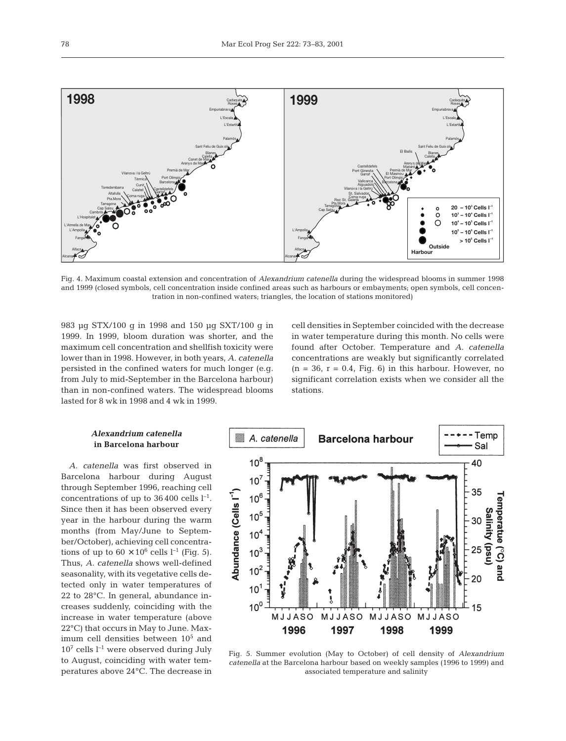

Fig. 4. Maximum coastal extension and concentration of *Alexandrium catenella* during the widespread blooms in summer 1998 and 1999 (closed symbols, cell concentration inside confined areas such as harbours or embayments; open symbols, cell concentration in non-confined waters; triangles, the location of stations monitored)

983 µg STX/100 g in 1998 and 150 µg SXT/100 g in 1999. In 1999, bloom duration was shorter, and the maximum cell concentration and shellfish toxicity were lower than in 1998. However, in both years, *A. catenella* persisted in the confined waters for much longer (e.g. from July to mid-September in the Barcelona harbour) than in non-confined waters. The widespread blooms lasted for 8 wk in 1998 and 4 wk in 1999.

cell densities in September coincided with the decrease in water temperature during this month. No cells were found after October. Temperature and *A. catenella* concentrations are weakly but significantly correlated  $(n = 36, r = 0.4, Fig. 6)$  in this harbour. However, no significant correlation exists when we consider all the stations.

## *Alexandrium catenella* **in Barcelona harbour**

*A. catenella* was first observed in Barcelona harbour during August through September 1996, reaching cell concentrations of up to  $36400$  cells  $l^{-1}$ . Since then it has been observed every year in the harbour during the warm months (from May/June to September/October), achieving cell concentrations of up to  $60 \times 10^6$  cells l<sup>-1</sup> (Fig. 5). Thus, *A. catenella* shows well-defined seasonality, with its vegetative cells detected only in water temperatures of 22 to 28°C. In general, abundance increases suddenly, coinciding with the increase in water temperature (above 22°C) that occurs in May to June. Maximum cell densities between  $10<sup>5</sup>$  and  $10^7$  cells  $l^{-1}$  were observed during July to August, coinciding with water temperatures above 24°C. The decrease in



Fig. 5. Summer evolution (May to October) of cell density of *Alexandrium catenella* at the Barcelona harbour based on weekly samples (1996 to 1999) and associated temperature and salinity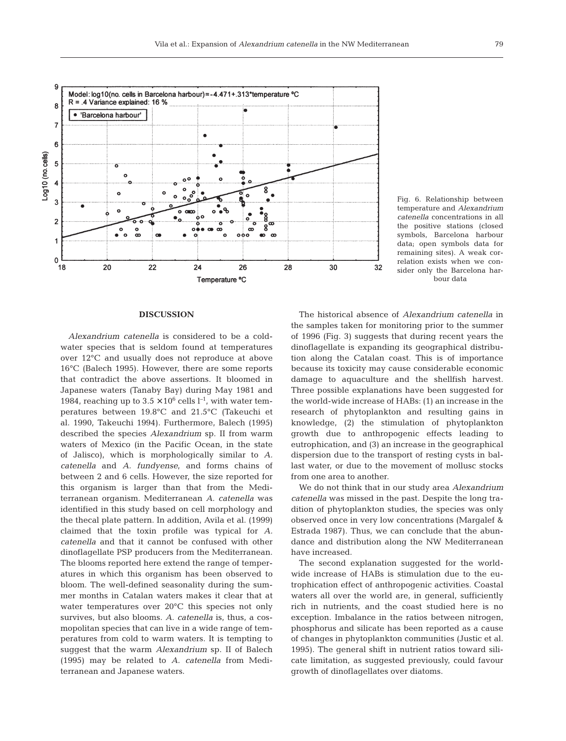

Fig. 6. Relationship between temperature and *Alexandrium catenella* concentrations in all the positive stations (closed symbols, Barcelona harbour data; open symbols data for remaining sites). A weak correlation exists when we consider only the Barcelona harbour data

#### **DISCUSSION**

*Alexandrium catenella* is considered to be a coldwater species that is seldom found at temperatures over 12°C and usually does not reproduce at above 16°C (Balech 1995). However, there are some reports that contradict the above assertions. It bloomed in Japanese waters (Tanaby Bay) during May 1981 and 1984, reaching up to  $3.5 \times 10^6$  cells  $l^{-1}$ , with water temperatures between 19.8°C and 21.5°C (Takeuchi et al. 1990, Takeuchi 1994). Furthermore, Balech (1995) described the species *Alexandrium* sp. II from warm waters of Mexico (in the Pacific Ocean, in the state of Jalisco), which is morphologically similar to *A. catenella* and *A. fundyense*, and forms chains of between 2 and 6 cells. However, the size reported for this organism is larger than that from the Mediterranean organism. Mediterranean *A. catenella* was identified in this study based on cell morphology and the thecal plate pattern. In addition, Avila et al. (1999) claimed that the toxin profile was typical for *A. catenella* and that it cannot be confused with other dinoflagellate PSP producers from the Mediterranean. The blooms reported here extend the range of temperatures in which this organism has been observed to bloom. The well-defined seasonality during the summer months in Catalan waters makes it clear that at water temperatures over 20°C this species not only survives, but also blooms. *A. catenella* is, thus, a cosmopolitan species that can live in a wide range of temperatures from cold to warm waters. It is tempting to suggest that the warm *Alexandrium* sp. II of Balech (1995) may be related to *A. catenella* from Mediterranean and Japanese waters.

The historical absence of *Alexandrium catenella* in the samples taken for monitoring prior to the summer of 1996 (Fig. 3) suggests that during recent years the dinoflagellate is expanding its geographical distribution along the Catalan coast. This is of importance because its toxicity may cause considerable economic damage to aquaculture and the shellfish harvest. Three possible explanations have been suggested for the world-wide increase of HABs: (1) an increase in the research of phytoplankton and resulting gains in knowledge, (2) the stimulation of phytoplankton growth due to anthropogenic effects leading to eutrophication, and (3) an increase in the geographical dispersion due to the transport of resting cysts in ballast water, or due to the movement of mollusc stocks from one area to another.

We do not think that in our study area *Alexandrium catenella* was missed in the past. Despite the long tradition of phytoplankton studies, the species was only observed once in very low concentrations (Margalef & Estrada 1987). Thus, we can conclude that the abundance and distribution along the NW Mediterranean have increased.

The second explanation suggested for the worldwide increase of HABs is stimulation due to the eutrophication effect of anthropogenic activities. Coastal waters all over the world are, in general, sufficiently rich in nutrients, and the coast studied here is no exception. Imbalance in the ratios between nitrogen, phosphorus and silicate has been reported as a cause of changes in phytoplankton communities (Justic et al. 1995). The general shift in nutrient ratios toward silicate limitation, as suggested previously, could favour growth of dinoflagellates over diatoms.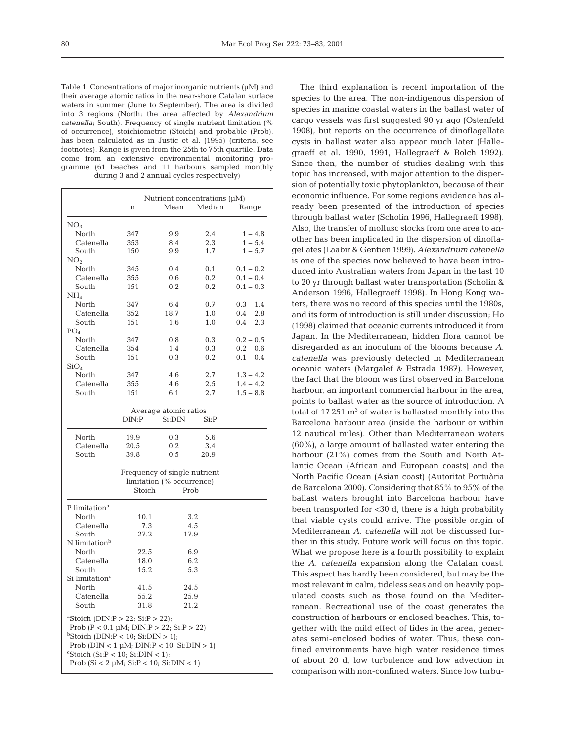Table 1. Concentrations of major inorganic nutrients (µM) and their average atomic ratios in the near-shore Catalan surface waters in summer (June to September). The area is divided into 3 regions (North; the area affected by *Alexandrium catenella*; South). Frequency of single nutrient limitation (% of occurrence), stoichiometric (Stoich) and probable (Prob), has been calculated as in Justic et al. (1995) (criteria, see footnotes). Range is given from the 25th to 75th quartile. Data come from an extensive environmental monitoring programme (61 beaches and 11 harbours sampled monthly during 3 and 2 annual cycles respectively)

|                                                                                                                                                                                                                                                                                                                                               | Nutrient concentrations $(\mu M)$ |                       |         |             |  |  |  |  |  |
|-----------------------------------------------------------------------------------------------------------------------------------------------------------------------------------------------------------------------------------------------------------------------------------------------------------------------------------------------|-----------------------------------|-----------------------|---------|-------------|--|--|--|--|--|
|                                                                                                                                                                                                                                                                                                                                               | n                                 | Mean                  | Median  | Range       |  |  |  |  |  |
| NO <sub>3</sub>                                                                                                                                                                                                                                                                                                                               |                                   |                       |         |             |  |  |  |  |  |
| North                                                                                                                                                                                                                                                                                                                                         | 347                               | 9.9                   | 2.4     | $1 - 4.8$   |  |  |  |  |  |
| Catenella                                                                                                                                                                                                                                                                                                                                     | 353                               | 8.4                   | 2.3     | $1 - 5.4$   |  |  |  |  |  |
| South                                                                                                                                                                                                                                                                                                                                         | 150                               | 9.9                   | 1.7     | $1 - 5.7$   |  |  |  |  |  |
| NO <sub>2</sub>                                                                                                                                                                                                                                                                                                                               |                                   |                       |         |             |  |  |  |  |  |
| North                                                                                                                                                                                                                                                                                                                                         | 345                               | 0.4                   | 0.1     | $0.1 - 0.2$ |  |  |  |  |  |
| Catenella                                                                                                                                                                                                                                                                                                                                     | 355                               | 0.6                   | 0.2     | $0.1 - 0.4$ |  |  |  |  |  |
| South                                                                                                                                                                                                                                                                                                                                         | 151                               | 0.2                   | 0.2     | $0.1 - 0.3$ |  |  |  |  |  |
| NH <sub>4</sub>                                                                                                                                                                                                                                                                                                                               |                                   |                       |         |             |  |  |  |  |  |
| North                                                                                                                                                                                                                                                                                                                                         | 347                               | 6.4                   | 0.7     | $0.3 - 1.4$ |  |  |  |  |  |
| Catenella                                                                                                                                                                                                                                                                                                                                     | 352                               | 18.7                  | 1.0     | $0.4 - 2.8$ |  |  |  |  |  |
| South                                                                                                                                                                                                                                                                                                                                         | 151                               | 1.6                   | 1.0     | $0.4 - 2.3$ |  |  |  |  |  |
| PO <sub>4</sub>                                                                                                                                                                                                                                                                                                                               |                                   |                       |         |             |  |  |  |  |  |
| North                                                                                                                                                                                                                                                                                                                                         | 347                               | 0.8                   | 0.3     | $0.2 - 0.5$ |  |  |  |  |  |
| Catenella                                                                                                                                                                                                                                                                                                                                     | 354                               | 1.4                   | 0.3     | $0.2 - 0.6$ |  |  |  |  |  |
| South                                                                                                                                                                                                                                                                                                                                         | 151                               | 0.3                   | 0.2     | $0.1 - 0.4$ |  |  |  |  |  |
| SiO <sub>4</sub>                                                                                                                                                                                                                                                                                                                              |                                   |                       |         |             |  |  |  |  |  |
| North                                                                                                                                                                                                                                                                                                                                         | 347                               | 4.6                   | 2.7     | $1.3 - 4.2$ |  |  |  |  |  |
| Catenella                                                                                                                                                                                                                                                                                                                                     | 355                               | 4.6                   | 2.5     | $1.4 - 4.2$ |  |  |  |  |  |
| South                                                                                                                                                                                                                                                                                                                                         | 151                               | 6.1                   | 2.7     | $1.5 - 8.8$ |  |  |  |  |  |
|                                                                                                                                                                                                                                                                                                                                               |                                   |                       |         |             |  |  |  |  |  |
|                                                                                                                                                                                                                                                                                                                                               |                                   | Average atomic ratios |         |             |  |  |  |  |  |
|                                                                                                                                                                                                                                                                                                                                               | DIN:P                             | Si:DIN                | $Si$ :P |             |  |  |  |  |  |
|                                                                                                                                                                                                                                                                                                                                               |                                   |                       |         |             |  |  |  |  |  |
| North                                                                                                                                                                                                                                                                                                                                         | 19.9                              | 0.3                   | 5.6     |             |  |  |  |  |  |
| Catenella                                                                                                                                                                                                                                                                                                                                     | 20.5                              | 0.2                   | 3.4     |             |  |  |  |  |  |
| South                                                                                                                                                                                                                                                                                                                                         | 39.8                              | 0.5                   | 20.9    |             |  |  |  |  |  |
| Frequency of single nutrient<br>limitation (% occurrence)<br>Stoich<br>Prob                                                                                                                                                                                                                                                                   |                                   |                       |         |             |  |  |  |  |  |
| P limitation <sup>a</sup>                                                                                                                                                                                                                                                                                                                     |                                   |                       |         |             |  |  |  |  |  |
| North                                                                                                                                                                                                                                                                                                                                         | 10.1                              |                       | 3.2     |             |  |  |  |  |  |
| Catenella                                                                                                                                                                                                                                                                                                                                     | 7.3                               |                       | 4.5     |             |  |  |  |  |  |
| South                                                                                                                                                                                                                                                                                                                                         | 27.2                              |                       | 17.9    |             |  |  |  |  |  |
| N limitation <sup>b</sup>                                                                                                                                                                                                                                                                                                                     |                                   |                       |         |             |  |  |  |  |  |
| North                                                                                                                                                                                                                                                                                                                                         | 22.5                              |                       | 6.9     |             |  |  |  |  |  |
| Catenella                                                                                                                                                                                                                                                                                                                                     | 18.0                              |                       | 6.2     |             |  |  |  |  |  |
| South                                                                                                                                                                                                                                                                                                                                         | 15.2                              |                       | 5.3     |             |  |  |  |  |  |
| Si limitation <sup>c</sup>                                                                                                                                                                                                                                                                                                                    |                                   |                       |         |             |  |  |  |  |  |
| North                                                                                                                                                                                                                                                                                                                                         | 41.5                              |                       | 24.5    |             |  |  |  |  |  |
| Catenella                                                                                                                                                                                                                                                                                                                                     | 55.2                              |                       | 25.9    |             |  |  |  |  |  |
| South                                                                                                                                                                                                                                                                                                                                         | 31.8                              |                       | 21.2    |             |  |  |  |  |  |
| <sup>a</sup> Stoich (DIN:P > 22; Si:P > 22);<br>Prob (P < 0.1 $\mu$ M; DIN:P > 22; Si:P > 22)<br>$b$ Stoich (DIN:P < 10; Si:DIN > 1);<br>Prob ( $\text{DIN} < 1 \mu\text{M}$ ; $\text{DIN}$ : $\text{P} < 10$ ; $\text{Si:} \text{DIN} > 1$ )<br>$C$ Stoich (Si: $P < 10$ ; Si: $DIN < 1$ );<br>Prob (Si < 2 µM; Si: $P$ < 10; Si: $DIN$ < 1) |                                   |                       |         |             |  |  |  |  |  |

The third explanation is recent importation of the species to the area. The non-indigenous dispersion of species in marine coastal waters in the ballast water of cargo vessels was first suggested 90 yr ago (Ostenfeld 1908), but reports on the occurrence of dinoflagellate cysts in ballast water also appear much later (Hallegraeff et al. 1990, 1991, Hallegraeff & Bolch 1992). Since then, the number of studies dealing with this topic has increased, with major attention to the dispersion of potentially toxic phytoplankton, because of their economic influence. For some regions evidence has already been presented of the introduction of species through ballast water (Scholin 1996, Hallegraeff 1998). Also, the transfer of mollusc stocks from one area to another has been implicated in the dispersion of dinoflagellates (Laabir & Gentien 1999). *Alexandrium catenella* is one of the species now believed to have been introduced into Australian waters from Japan in the last 10 to 20 yr through ballast water transportation (Scholin & Anderson 1996, Hallegraeff 1998). In Hong Kong waters, there was no record of this species until the 1980s, and its form of introduction is still under discussion; Ho (1998) claimed that oceanic currents introduced it from Japan. In the Mediterranean, hidden flora cannot be disregarded as an inoculum of the blooms because *A. catenella* was previously detected in Mediterranean oceanic waters (Margalef & Estrada 1987). However, the fact that the bloom was first observed in Barcelona harbour, an important commercial harbour in the area, points to ballast water as the source of introduction. A total of  $17251 \text{ m}^3$  of water is ballasted monthly into the Barcelona harbour area (inside the harbour or within 12 nautical miles). Other than Mediterranean waters (60%), a large amount of ballasted water entering the harbour (21%) comes from the South and North Atlantic Ocean (African and European coasts) and the North Pacific Ocean (Asian coast) (Autoritat Portuària de Barcelona 2000). Considering that 85% to 95% of the ballast waters brought into Barcelona harbour have been transported for <30 d, there is a high probability that viable cysts could arrive. The possible origin of Mediterranean *A. catenella* will not be discussed further in this study. Future work will focus on this topic. What we propose here is a fourth possibility to explain the *A. catenella* expansion along the Catalan coast. This aspect has hardly been considered, but may be the most relevant in calm, tideless seas and on heavily populated coasts such as those found on the Mediterranean. Recreational use of the coast generates the construction of harbours or enclosed beaches. This, together with the mild effect of tides in the area, generates semi-enclosed bodies of water. Thus, these confined environments have high water residence times of about 20 d, low turbulence and low advection in comparison with non-confined waters. Since low turbu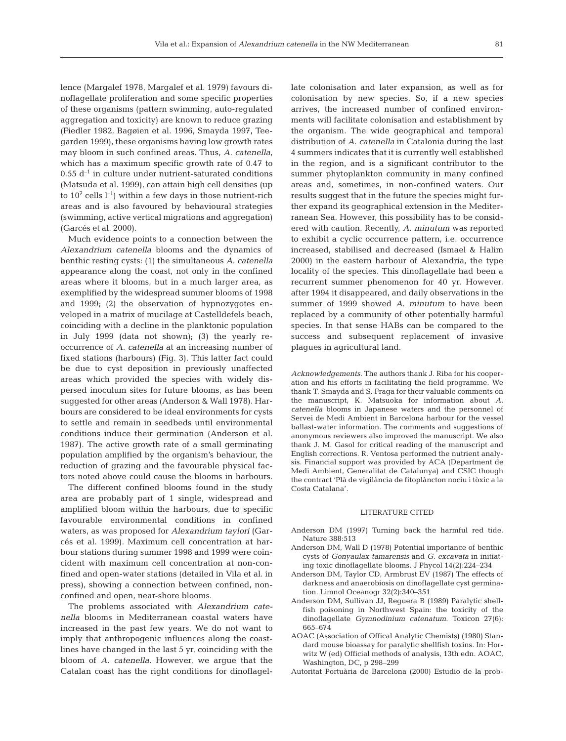lence (Margalef 1978, Margalef et al. 1979) favours dinoflagellate proliferation and some specific properties of these organisms (pattern swimming, auto-regulated aggregation and toxicity) are known to reduce grazing (Fiedler 1982, Bagøien et al. 1996, Smayda 1997, Teegarden 1999), these organisms having low growth rates may bloom in such confined areas. Thus, *A. catenella*, which has a maximum specific growth rate of 0.47 to  $0.55$  d<sup>-1</sup> in culture under nutrient-saturated conditions (Matsuda et al. 1999), can attain high cell densities (up to  $10^7$  cells  $l^{-1}$ ) within a few days in those nutrient-rich areas and is also favoured by behavioural strategies (swimming, active vertical migrations and aggregation) (Garcés et al. 2000).

Much evidence points to a connection between the *Alexandrium catenella* blooms and the dynamics of benthic resting cysts: (1) the simultaneous *A. catenella* appearance along the coast, not only in the confined areas where it blooms, but in a much larger area, as exemplified by the widespread summer blooms of 1998 and 1999; (2) the observation of hypnozygotes enveloped in a matrix of mucilage at Castelldefels beach, coinciding with a decline in the planktonic population in July 1999 (data not shown); (3) the yearly reoccurrence of *A. catenella* at an increasing number of fixed stations (harbours) (Fig. 3). This latter fact could be due to cyst deposition in previously unaffected areas which provided the species with widely dispersed inoculum sites for future blooms, as has been suggested for other areas (Anderson & Wall 1978). Harbours are considered to be ideal environments for cysts to settle and remain in seedbeds until environmental conditions induce their germination (Anderson et al. 1987). The active growth rate of a small germinating population amplified by the organism's behaviour, the reduction of grazing and the favourable physical factors noted above could cause the blooms in harbours.

The different confined blooms found in the study area are probably part of 1 single, widespread and amplified bloom within the harbours, due to specific favourable environmental conditions in confined waters, as was proposed for *Alexandrium taylori* (Garcés et al. 1999). Maximum cell concentration at harbour stations during summer 1998 and 1999 were coincident with maximum cell concentration at non-confined and open-water stations (detailed in Vila et al. in press), showing a connection between confined, nonconfined and open, near-shore blooms.

The problems associated with *Alexandrium catenella* blooms in Mediterranean coastal waters have increased in the past few years. We do not want to imply that anthropogenic influences along the coastlines have changed in the last 5 yr, coinciding with the bloom of *A. catenella*. However, we argue that the Catalan coast has the right conditions for dinoflagellate colonisation and later expansion, as well as for colonisation by new species. So, if a new species arrives, the increased number of confined environments will facilitate colonisation and establishment by the organism. The wide geographical and temporal distribution of *A. catenella* in Catalonia during the last 4 summers indicates that it is currently well established in the region, and is a significant contributor to the summer phytoplankton community in many confined areas and, sometimes, in non-confined waters. Our results suggest that in the future the species might further expand its geographical extension in the Mediterranean Sea. However, this possibility has to be considered with caution. Recently, *A. minutum* was reported to exhibit a cyclic occurrence pattern, i.e. occurrence increased, stabilised and decreased (Ismael & Halim 2000) in the eastern harbour of Alexandria, the type locality of the species. This dinoflagellate had been a recurrent summer phenomenon for 40 yr. However, after 1994 it disappeared, and daily observations in the summer of 1999 showed *A. minutum* to have been replaced by a community of other potentially harmful species. In that sense HABs can be compared to the success and subsequent replacement of invasive plagues in agricultural land.

*Acknowledgements.* The authors thank J. Riba for his cooperation and his efforts in facilitating the field programme. We thank T. Smayda and S. Fraga for their valuable comments on the manuscript, K. Matsuoka for information about *A. catenella* blooms in Japanese waters and the personnel of Servei de Medi Ambient in Barcelona harbour for the vessel ballast-water information. The comments and suggestions of anonymous reviewers also improved the manuscript. We also thank J. M. Gasol for critical reading of the manuscript and English corrections. R. Ventosa performed the nutrient analysis. Financial support was provided by ACA (Department de Medi Ambient, Generalitat de Catalunya) and CSIC though the contract 'Plà de vigilància de fitoplàncton nociu i tòxic a la Costa Catalana'.

#### LITERATURE CITED

- Anderson DM (1997) Turning back the harmful red tide. Nature 388:513
- Anderson DM, Wall D (1978) Potential importance of benthic cysts of *Gonyaulax tamarensis* and *G. excavata* in initiating toxic dinoflagellate blooms. J Phycol 14(2):224–234
- Anderson DM, Taylor CD, Armbrust EV (1987) The effects of darkness and anaerobiosis on dinoflagellate cyst germination. Limnol Oceanogr 32(2):340–351
- Anderson DM, Sullivan JJ, Reguera B (1989) Paralytic shellfish poisoning in Northwest Spain: the toxicity of the dinoflagellate *Gymnodinium catenatum*. Toxicon 27(6): 665–674
- AOAC (Association of Offical Analytic Chemists) (1980) Standard mouse bioassay for paralytic shellfish toxins. In: Horwitz W (ed) Official methods of analysis, 13th edn. AOAC, Washington, DC, p 298–299
- Autoritat Portuària de Barcelona (2000) Estudio de la prob-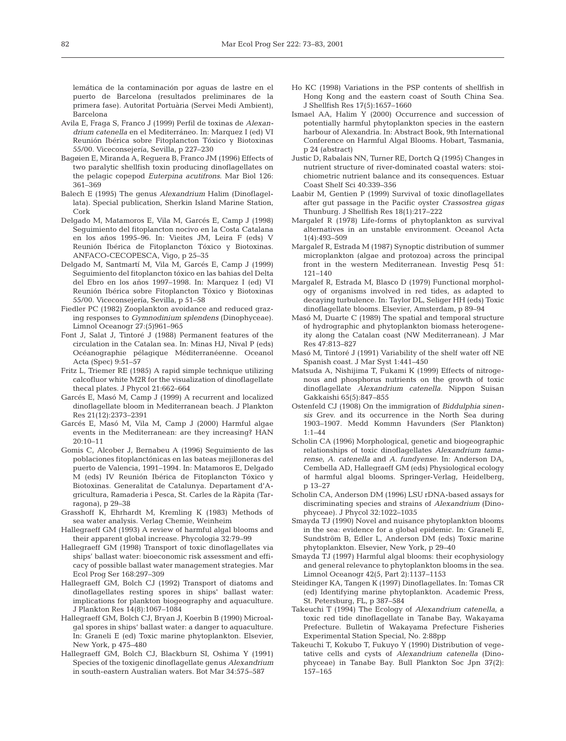lemática de la contaminación por aguas de lastre en el puerto de Barcelona (resultados preliminares de la primera fase). Autoritat Portuària (Servei Medi Ambient), Barcelona

- Avila E, Fraga S, Franco J (1999) Perfil de toxinas de *Alexandrium catenella* en el Mediterráneo. In: Marquez I (ed) VI Reunión Ibérica sobre Fitoplancton Tóxico y Biotoxinas 55/00. Viceconsejería, Sevilla, p 227–230
- Bagøien E, Miranda A, Reguera B, Franco JM (1996) Effects of two paralytic shellfish toxin producing dinoflagellates on the pelagic copepod *Euterpina acutifrons*. Mar Biol 126: 361–369
- Balech E (1995) The genus *Alexandrium* Halim (Dinoflagellata). Special publication, Sherkin Island Marine Station, Cork
- Delgado M, Matamoros E, Vila M, Garcés E, Camp J (1998) Seguimiento del fitoplancton nocivo en la Costa Catalana en los años 1995–96. In: Vieites JM, Leira F (eds) V Reunión Ibérica de Fitoplancton Tóxico y Biotoxinas. ANFACO-CECOPESCA, Vigo, p 25–35
- Delgado M, Santmartí M, Vila M, Garcés E, Camp J (1999) Seguimiento del fitoplancton tóxico en las bahias del Delta del Ebro en los años 1997–1998. In: Marquez I (ed) VI Reunión Ibérica sobre Fitoplancton Tóxico y Biotoxinas 55/00. Viceconsejería, Sevilla, p 51–58
- Fiedler PC (1982) Zooplankton avoidance and reduced grazing responses to *Gymnodinium splendens* (Dinophyceae). Limnol Oceanogr 27:(5)961–965
- Font J, Salat J, Tintoré J (1988) Permanent features of the circulation in the Catalan sea. In: Minas HJ, Nival P (eds) Océanographie pélagique Méditerranéenne. Oceanol Acta (Spec) 9:51–57
- Fritz L, Triemer RE (1985) A rapid simple technique utilizing calcofluor white M2R for the visualization of dinoflagellate thecal plates. J Phycol 21:662–664
- Garcés E, Masó M, Camp J (1999) A recurrent and localized dinoflagellate bloom in Mediterranean beach. J Plankton Res 21(12):2373–2391
- Garcés E, Masó M, Vila M, Camp J (2000) Harmful algae events in the Mediterranean: are they increasing? HAN  $20.10 - 11$
- Gomis C, Alcober J, Bernabeu A (1996) Seguimiento de las poblaciones fitoplanctónicas en las bateas mejilloneras del puerto de Valencia, 1991–1994. In: Matamoros E, Delgado M (eds) IV Reunión Ibérica de Fitoplancton Tóxico y Biotoxinas. Generalitat de Catalunya. Departament d'Agricultura, Ramaderia i Pesca, St. Carles de la Ràpita (Tarragona), p 29–38
- Grasshoff K, Ehrhardt M, Kremling K (1983) Methods of sea water analysis. Verlag Chemie, Weinheim
- Hallegraeff GM (1993) A review of harmful algal blooms and their apparent global increase. Phycologia 32:79–99
- Hallegraeff GM (1998) Transport of toxic dinoflagellates via ships' ballast water: bioeconomic risk assessment and efficacy of possible ballast water management strategies. Mar Ecol Prog Ser 168:297–309
- Hallegraeff GM, Bolch CJ (1992) Transport of diatoms and dinoflagellates resting spores in ships' ballast water: implications for plankton biogeography and aquaculture. J Plankton Res 14(8):1067–1084
- Hallegraeff GM, Bolch CJ, Bryan J, Koerbin B (1990) Microalgal spores in ships' ballast water: a danger to aquaculture. In: Graneli E (ed) Toxic marine phytoplankton. Elsevier, New York, p 475–480
- Hallegraeff GM, Bolch CJ, Blackburn SI, Oshima Y (1991) Species of the toxigenic dinoflagellate genus *Alexandrium* in south-eastern Australian waters. Bot Mar 34:575–587
- Ho KC (1998) Variations in the PSP contents of shellfish in Hong Kong and the eastern coast of South China Sea. J Shellfish Res 17(5):1657–1660
- Ismael AA, Halim Y (2000) Occurrence and succession of potentially harmful phytoplankton species in the eastern harbour of Alexandria. In: Abstract Book, 9th International Conference on Harmful Algal Blooms. Hobart, Tasmania, p 24 (abstract)
- Justic D, Rabalais NN, Turner RE, Dortch Q (1995) Changes in nutrient structure of river-dominated coastal waters: stoichiometric nutrient balance and its consequences. Estuar Coast Shelf Sci 40:339–356
- Laabir M, Gentien P (1999) Survival of toxic dinoflagellates after gut passage in the Pacific oyster *Crassostrea gigas* Thunburg. J Shellfish Res 18(1):217–222
- Margalef R (1978) Life-forms of phytoplankton as survival alternatives in an unstable environment. Oceanol Acta 1(4):493–509
- Margalef R, Estrada M (1987) Synoptic distribution of summer microplankton (algae and protozoa) across the principal front in the western Mediterranean. Investig Pesq 51: 121–140
- Margalef R, Estrada M, Blasco D (1979) Functional morphology of organisms involved in red tides, as adapted to decaying turbulence. In: Taylor DL, Seliger HH (eds) Toxic dinoflagellate blooms. Elsevier, Amsterdam, p 89–94
- Masó M, Duarte C (1989) The spatial and temporal structure of hydrographic and phytoplankton biomass heterogeneity along the Catalan coast (NW Mediterranean). J Mar Res 47:813–827
- Masó M, Tintoré J (1991) Variability of the shelf water off NE Spanish coast. J Mar Syst 1:441–450
- Matsuda A, Nishijima T, Fukami K (1999) Effects of nitrogenous and phosphorus nutrients on the growth of toxic dinoflagellate *Alexandrium catenella*. Nippon Suisan Gakkaishi 65(5):847–855
- Ostenfeld CJ (1908) On the immigration of *Biddulphia sinensis* Grev. and its occurrence in the North Sea during 1903–1907. Medd Kommn Havunders (Ser Plankton) 1:1–44
- Scholin CA (1996) Morphological, genetic and biogeographic relationships of toxic dinoflagellates *Alexandrium tamarense*, *A. catenella* and *A. fundyense*. In: Anderson DA, Cembella AD, Hallegraeff GM (eds) Physiological ecology of harmful algal blooms. Springer-Verlag, Heidelberg, p 13–27
- Scholin CA, Anderson DM (1996) LSU rDNA-based assays for discriminating species and strains of *Alexandrium* (Dinophyceae). J Phycol 32:1022–1035
- Smayda TJ (1990) Novel and nuisance phytoplankton blooms in the sea: evidence for a global epidemic. In: Graneli E, Sundström B, Edler L, Anderson DM (eds) Toxic marine phytoplankton. Elsevier, New York, p 29–40
- Smayda TJ (1997) Harmful algal blooms: their ecophysiology and general relevance to phytoplankton blooms in the sea. Limnol Oceanogr 42(5, Part 2):1137–1153
- Steidinger KA, Tangen K (1997) Dinoflagellates. In: Tomas CR (ed) Identifying marine phytoplankton. Academic Press, St. Petersburg, FL, p 387–584
- Takeuchi T (1994) The Ecology of *Alexandrium catenella*, a toxic red tide dinoflagellate in Tanabe Bay, Wakayama Prefecture. Bulletin of Wakayama Prefecture Fisheries Experimental Station Special, No. 2:88pp
- Takeuchi T, Kokubo T, Fukuyo Y (1990) Distribution of vegetative cells and cysts of *Alexandrium catenella* (Dinophyceae) in Tanabe Bay. Bull Plankton Soc Jpn 37(2): 157–165